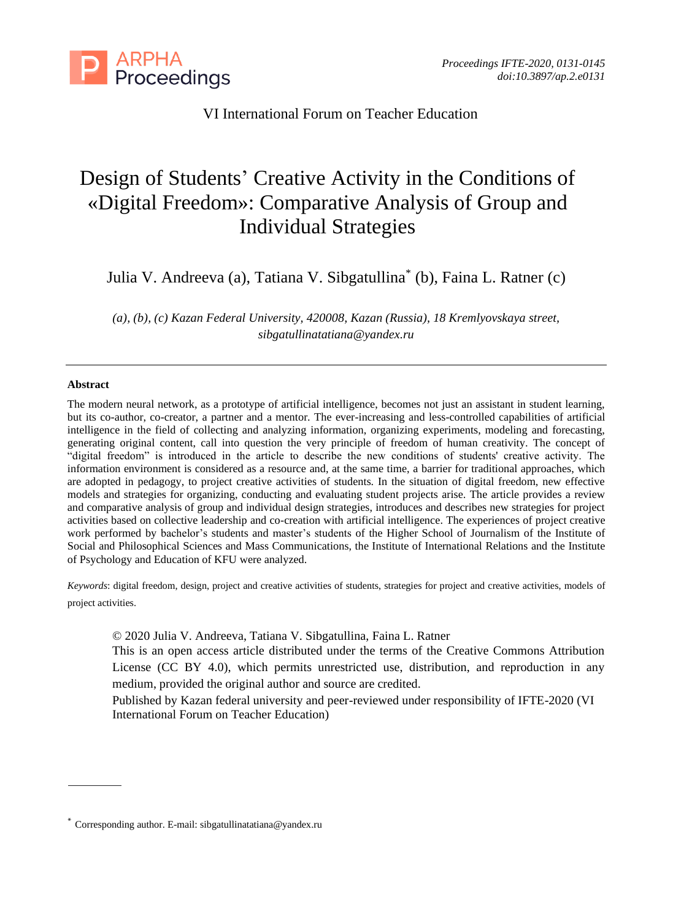

# VI International Forum on Teacher Education

# Design of Students' Creative Activity in the Conditions of «Digital Freedom»: Comparative Analysis of Group and Individual Strategies

Julia V. Andreeva (a), Tatiana V. Sibgatullina\* (b), Faina L. Ratner (c)

*(a), (b), (c) Kazan Federal University, 420008, Kazan (Russia), 18 Kremlyovskaya street, sibgatullinatatiana@yandex.ru*

#### **Abstract**

The modern neural network, as a prototype of artificial intelligence, becomes not just an assistant in student learning, but its co-author, co-creator, a partner and a mentor. The ever-increasing and less-controlled capabilities of artificial intelligence in the field of collecting and analyzing information, organizing experiments, modeling and forecasting, generating original content, call into question the very principle of freedom of human creativity. The concept of "digital freedom" is introduced in the article to describe the new conditions of students' creative activity. The information environment is considered as a resource and, at the same time, a barrier for traditional approaches, which are adopted in pedagogy, to project creative activities of students. In the situation of digital freedom, new effective models and strategies for organizing, conducting and evaluating student projects arise. The article provides a review and comparative analysis of group and individual design strategies, introduces and describes new strategies for project activities based on collective leadership and co-creation with artificial intelligence. The experiences of project creative work performed by bachelor's students and master's students of the Higher School of Journalism of the Institute of Social and Philosophical Sciences and Mass Communications, the Institute of International Relations and the Institute of Psychology and Education of KFU were analyzed.

*Keywords*: digital freedom, design, project and creative activities of students, strategies for project and creative activities, models of project activities.

© 2020 Julia V. Andreeva, Tatiana V. Sibgatullina, Faina L. Ratner

This is an open access article distributed under the terms of the Creative Commons Attribution License (CC BY 4.0), which permits unrestricted use, distribution, and reproduction in any medium, provided the original author and source are credited.

Published by Kazan federal university and peer-reviewed under responsibility of IFTE-2020 (VI International Forum on Teacher Education)

<sup>\*</sup> Corresponding author. E-mail[: sibgatullinatatiana@yandex.ru](mailto:sibgatullinatatiana@yandex.ru)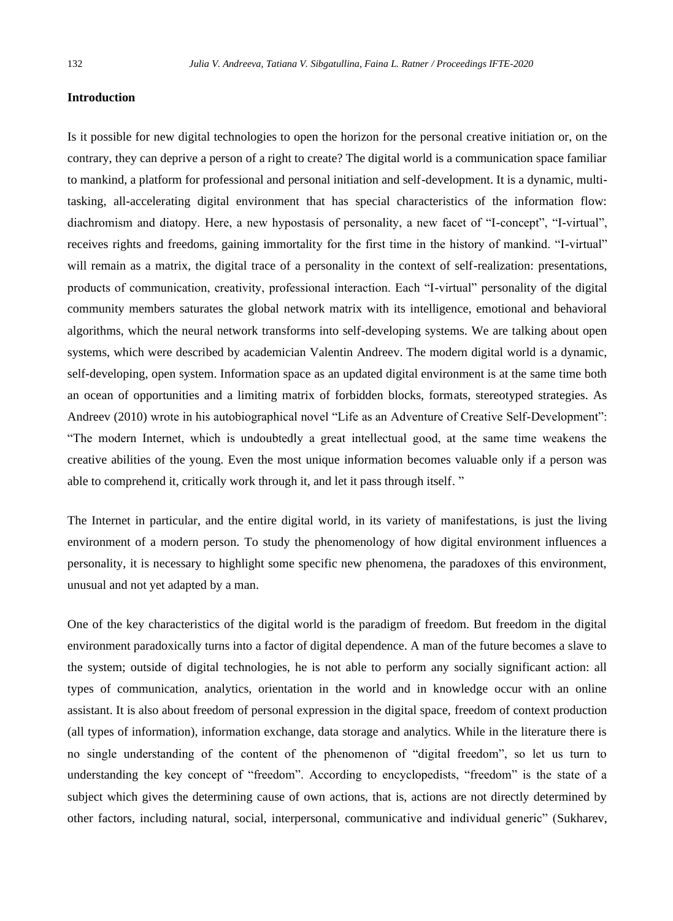## **Introduction**

Is it possible for new digital technologies to open the horizon for the personal creative initiation or, on the contrary, they can deprive a person of a right to create? The digital world is a communication space familiar to mankind, a platform for professional and personal initiation and self-development. It is a dynamic, multitasking, all-accelerating digital environment that has special characteristics of the information flow: diachromism and diatopy. Here, a new hypostasis of personality, a new facet of "I-concept", "I-virtual", receives rights and freedoms, gaining immortality for the first time in the history of mankind. "I-virtual" will remain as a matrix, the digital trace of a personality in the context of self-realization: presentations, products of communication, creativity, professional interaction. Each "I-virtual" personality of the digital community members saturates the global network matrix with its intelligence, emotional and behavioral algorithms, which the neural network transforms into self-developing systems. We are talking about open systems, which were described by academician Valentin Andreev. The modern digital world is a dynamic, self-developing, open system. Information space as an updated digital environment is at the same time both an ocean of opportunities and a limiting matrix of forbidden blocks, formats, stereotyped strategies. As Andreev (2010) wrote in his autobiographical novel "Life as an Adventure of Creative Self-Development": "The modern Internet, which is undoubtedly a great intellectual good, at the same time weakens the creative abilities of the young. Even the most unique information becomes valuable only if a person was able to comprehend it, critically work through it, and let it pass through itself. "

The Internet in particular, and the entire digital world, in its variety of manifestations, is just the living environment of a modern person. To study the phenomenology of how digital environment influences a personality, it is necessary to highlight some specific new phenomena, the paradoxes of this environment, unusual and not yet adapted by a man.

One of the key characteristics of the digital world is the paradigm of freedom. But freedom in the digital environment paradoxically turns into a factor of digital dependence. A man of the future becomes a slave to the system; outside of digital technologies, he is not able to perform any socially significant action: all types of communication, analytics, orientation in the world and in knowledge occur with an online assistant. It is also about freedom of personal expression in the digital space, freedom of context production (all types of information), information exchange, data storage and analytics. While in the literature there is no single understanding of the content of the phenomenon of "digital freedom", so let us turn to understanding the key concept of "freedom". According to encyclopedists, "freedom" is the state of a subject which gives the determining cause of own actions, that is, actions are not directly determined by other factors, including natural, social, interpersonal, communicative and individual generic" (Sukharev,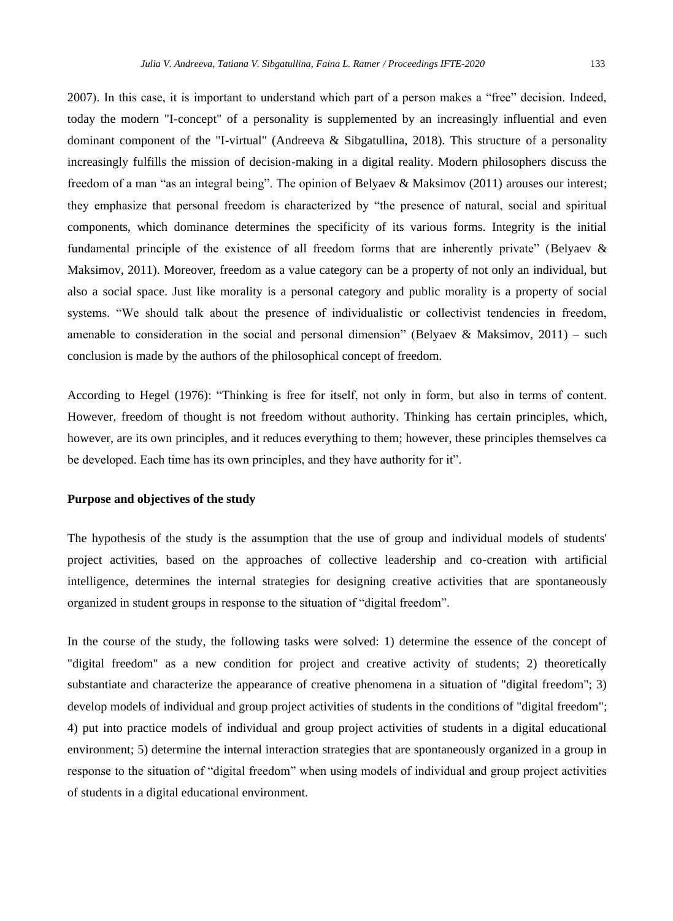2007). In this case, it is important to understand which part of a person makes a "free" decision. Indeed, today the modern "I-concept" of a personality is supplemented by an increasingly influential and even dominant component of the "I-virtual" (Andreeva & Sibgatullina, 2018). This structure of a personality increasingly fulfills the mission of decision-making in a digital reality. Modern philosophers discuss the freedom of a man "as an integral being". The opinion of Belyaev & Maksimov (2011) arouses our interest; they emphasize that personal freedom is characterized by "the presence of natural, social and spiritual components, which dominance determines the specificity of its various forms. Integrity is the initial fundamental principle of the existence of all freedom forms that are inherently private" (Belyaev & Maksimov, 2011). Moreover, freedom as a value category can be a property of not only an individual, but also a social space. Just like morality is a personal category and public morality is a property of social systems. "We should talk about the presence of individualistic or collectivist tendencies in freedom, amenable to consideration in the social and personal dimension" (Belyaev & Maksimov,  $2011$ ) – such conclusion is made by the authors of the philosophical concept of freedom.

According to Hegel (1976): "Thinking is free for itself, not only in form, but also in terms of content. However, freedom of thought is not freedom without authority. Thinking has certain principles, which, however, are its own principles, and it reduces everything to them; however, these principles themselves ca be developed. Each time has its own principles, and they have authority for it".

### **Purpose and objectives of the study**

The hypothesis of the study is the assumption that the use of group and individual models of students' project activities, based on the approaches of collective leadership and co-creation with artificial intelligence, determines the internal strategies for designing creative activities that are spontaneously organized in student groups in response to the situation of "digital freedom".

In the course of the study, the following tasks were solved: 1) determine the essence of the concept of "digital freedom" as a new condition for project and creative activity of students; 2) theoretically substantiate and characterize the appearance of creative phenomena in a situation of "digital freedom"; 3) develop models of individual and group project activities of students in the conditions of "digital freedom"; 4) put into practice models of individual and group project activities of students in a digital educational environment; 5) determine the internal interaction strategies that are spontaneously organized in a group in response to the situation of "digital freedom" when using models of individual and group project activities of students in a digital educational environment.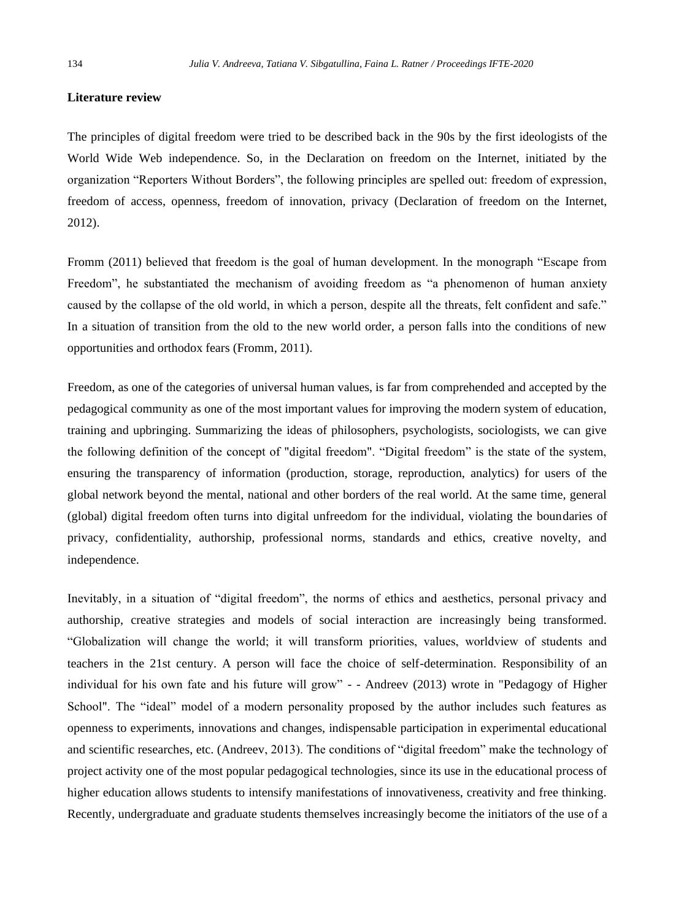### **Literature review**

The principles of digital freedom were tried to be described back in the 90s by the first ideologists of the World Wide Web independence. So, in the Declaration on freedom on the Internet, initiated by the organization "Reporters Without Borders", the following principles are spelled out: freedom of expression, freedom of access, openness, freedom of innovation, privacy (Declaration of freedom on the Internet, 2012).

Fromm (2011) believed that freedom is the goal of human development. In the monograph "Escape from Freedom", he substantiated the mechanism of avoiding freedom as "a phenomenon of human anxiety caused by the collapse of the old world, in which a person, despite all the threats, felt confident and safe." In a situation of transition from the old to the new world order, a person falls into the conditions of new opportunities and orthodox fears (Fromm, 2011).

Freedom, as one of the categories of universal human values, is far from comprehended and accepted by the pedagogical community as one of the most important values for improving the modern system of education, training and upbringing. Summarizing the ideas of philosophers, psychologists, sociologists, we can give the following definition of the concept of "digital freedom". "Digital freedom" is the state of the system, ensuring the transparency of information (production, storage, reproduction, analytics) for users of the global network beyond the mental, national and other borders of the real world. At the same time, general (global) digital freedom often turns into digital unfreedom for the individual, violating the boundaries of privacy, confidentiality, authorship, professional norms, standards and ethics, creative novelty, and independence.

Inevitably, in a situation of "digital freedom", the norms of ethics and aesthetics, personal privacy and authorship, creative strategies and models of social interaction are increasingly being transformed. "Globalization will change the world; it will transform priorities, values, worldview of students and teachers in the 21st century. A person will face the choice of self-determination. Responsibility of an individual for his own fate and his future will grow" - - Andreev (2013) wrote in "Pedagogy of Higher School". The "ideal" model of a modern personality proposed by the author includes such features as openness to experiments, innovations and changes, indispensable participation in experimental educational and scientific researches, etc. (Andreev, 2013). The conditions of "digital freedom" make the technology of project activity one of the most popular pedagogical technologies, since its use in the educational process of higher education allows students to intensify manifestations of innovativeness, creativity and free thinking. Recently, undergraduate and graduate students themselves increasingly become the initiators of the use of a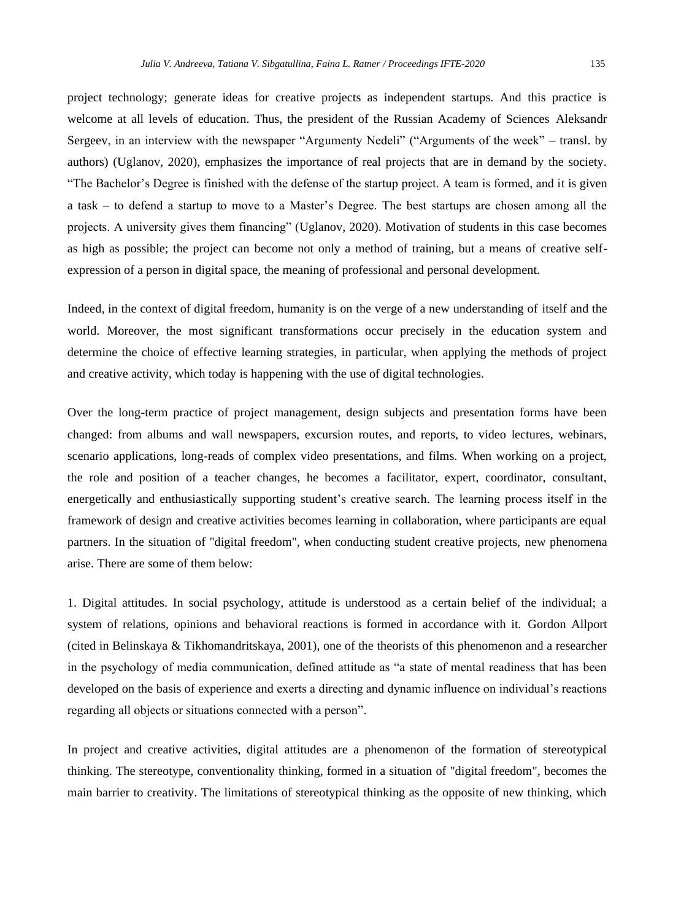project technology; generate ideas for creative projects as independent startups. And this practice is welcome at all levels of education. Thus, the president of the Russian Academy of Sciences Aleksandr Sergeev, in an interview with the newspaper "Argumenty Nedeli" ("Arguments of the week" – transl. by authors) (Uglanov, 2020), emphasizes the importance of real projects that are in demand by the society. "The Bachelor's Degree is finished with the defense of the startup project. A team is formed, and it is given a task – to defend a startup to move to a Master's Degree. The best startups are chosen among all the projects. A university gives them financing" (Uglanov, 2020). Motivation of students in this case becomes as high as possible; the project can become not only a method of training, but a means of creative self-

expression of a person in digital space, the meaning of professional and personal development.

Indeed, in the context of digital freedom, humanity is on the verge of a new understanding of itself and the world. Moreover, the most significant transformations occur precisely in the education system and determine the choice of effective learning strategies, in particular, when applying the methods of project and creative activity, which today is happening with the use of digital technologies.

Over the long-term practice of project management, design subjects and presentation forms have been changed: from albums and wall newspapers, excursion routes, and reports, to video lectures, webinars, scenario applications, long-reads of complex video presentations, and films. When working on a project, the role and position of a teacher changes, he becomes a facilitator, expert, coordinator, consultant, energetically and enthusiastically supporting student's creative search. The learning process itself in the framework of design and creative activities becomes learning in collaboration, where participants are equal partners. In the situation of "digital freedom", when conducting student creative projects, new phenomena arise. There are some of them below:

1. Digital attitudes. In social psychology, attitude is understood as a certain belief of the individual; a system of relations, opinions and behavioral reactions is formed in accordance with it. Gordon Allport (cited in Belinskaya & Tikhomandritskaya, 2001), one of the theorists of this phenomenon and a researcher in the psychology of media communication, defined attitude as "a state of mental readiness that has been developed on the basis of experience and exerts a directing and dynamic influence on individual's reactions regarding all objects or situations connected with a person".

In project and creative activities, digital attitudes are a phenomenon of the formation of stereotypical thinking. The stereotype, conventionality thinking, formed in a situation of "digital freedom", becomes the main barrier to creativity. The limitations of stereotypical thinking as the opposite of new thinking, which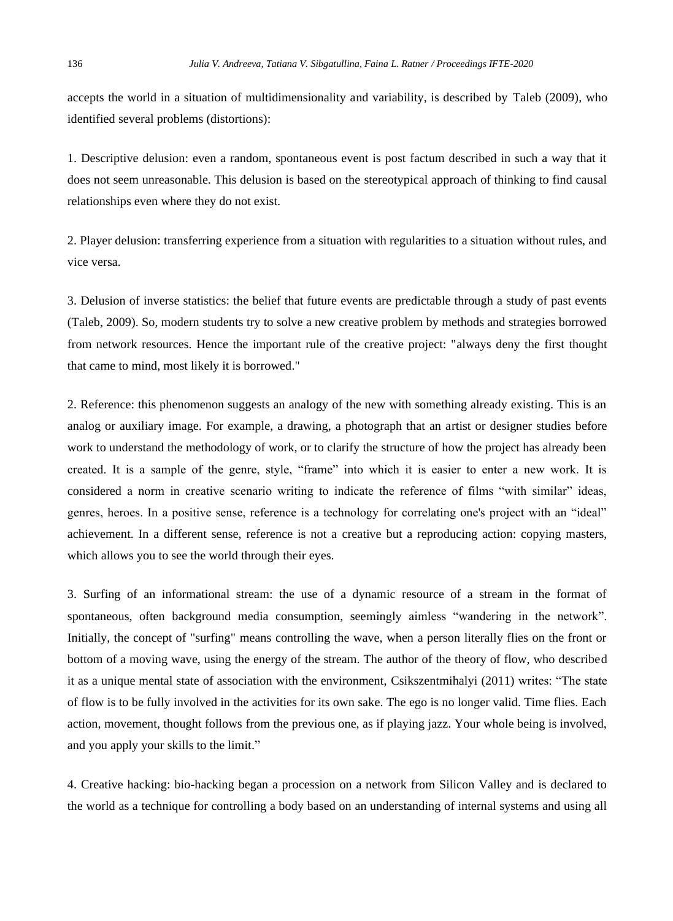accepts the world in a situation of multidimensionality and variability, is described by Taleb (2009), who identified several problems (distortions):

1. Descriptive delusion: even a random, spontaneous event is post factum described in such a way that it does not seem unreasonable. This delusion is based on the stereotypical approach of thinking to find causal relationships even where they do not exist.

2. Player delusion: transferring experience from a situation with regularities to a situation without rules, and vice versa.

3. Delusion of inverse statistics: the belief that future events are predictable through a study of past events (Taleb, 2009). So, modern students try to solve a new creative problem by methods and strategies borrowed from network resources. Hence the important rule of the creative project: "always deny the first thought that came to mind, most likely it is borrowed."

2. Reference: this phenomenon suggests an analogy of the new with something already existing. This is an analog or auxiliary image. For example, a drawing, a photograph that an artist or designer studies before work to understand the methodology of work, or to clarify the structure of how the project has already been created. It is a sample of the genre, style, "frame" into which it is easier to enter a new work. It is considered a norm in creative scenario writing to indicate the reference of films "with similar" ideas, genres, heroes. In a positive sense, reference is a technology for correlating one's project with an "ideal" achievement. In a different sense, reference is not a creative but a reproducing action: copying masters, which allows you to see the world through their eyes.

3. Surfing of an informational stream: the use of a dynamic resource of a stream in the format of spontaneous, often background media consumption, seemingly aimless "wandering in the network". Initially, the concept of "surfing" means controlling the wave, when a person literally flies on the front or bottom of a moving wave, using the energy of the stream. The author of the theory of flow, who described it as a unique mental state of association with the environment, Csikszentmihalyi (2011) writes: "The state of flow is to be fully involved in the activities for its own sake. The ego is no longer valid. Time flies. Each action, movement, thought follows from the previous one, as if playing jazz. Your whole being is involved, and you apply your skills to the limit."

4. Creative hacking: bio-hacking began a procession on a network from Silicon Valley and is declared to the world as a technique for controlling a body based on an understanding of internal systems and using all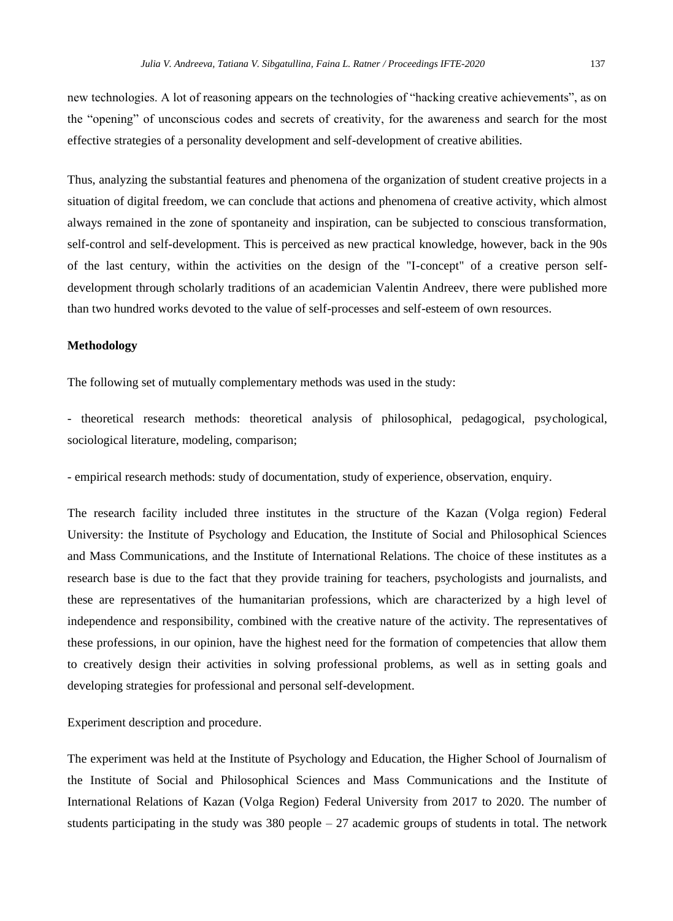new technologies. A lot of reasoning appears on the technologies of "hacking creative achievements", as on the "opening" of unconscious codes and secrets of creativity, for the awareness and search for the most effective strategies of a personality development and self-development of creative abilities.

Thus, analyzing the substantial features and phenomena of the organization of student creative projects in a situation of digital freedom, we can conclude that actions and phenomena of creative activity, which almost always remained in the zone of spontaneity and inspiration, can be subjected to conscious transformation, self-control and self-development. This is perceived as new practical knowledge, however, back in the 90s of the last century, within the activities on the design of the "I-concept" of a creative person selfdevelopment through scholarly traditions of an academician Valentin Andreev, there were published more than two hundred works devoted to the value of self-processes and self-esteem of own resources.

## **Methodology**

The following set of mutually complementary methods was used in the study:

- theoretical research methods: theoretical analysis of philosophical, pedagogical, psychological, sociological literature, modeling, comparison;

- empirical research methods: study of documentation, study of experience, observation, enquiry.

The research facility included three institutes in the structure of the Kazan (Volga region) Federal University: the Institute of Psychology and Education, the Institute of Social and Philosophical Sciences and Mass Communications, and the Institute of International Relations. The choice of these institutes as a research base is due to the fact that they provide training for teachers, psychologists and journalists, and these are representatives of the humanitarian professions, which are characterized by a high level of independence and responsibility, combined with the creative nature of the activity. The representatives of these professions, in our opinion, have the highest need for the formation of competencies that allow them to creatively design their activities in solving professional problems, as well as in setting goals and developing strategies for professional and personal self-development.

Experiment description and procedure.

The experiment was held at the Institute of Psychology and Education, the Higher School of Journalism of the Institute of Social and Philosophical Sciences and Mass Communications and the Institute of International Relations of Kazan (Volga Region) Federal University from 2017 to 2020. The number of students participating in the study was  $380$  people  $-27$  academic groups of students in total. The network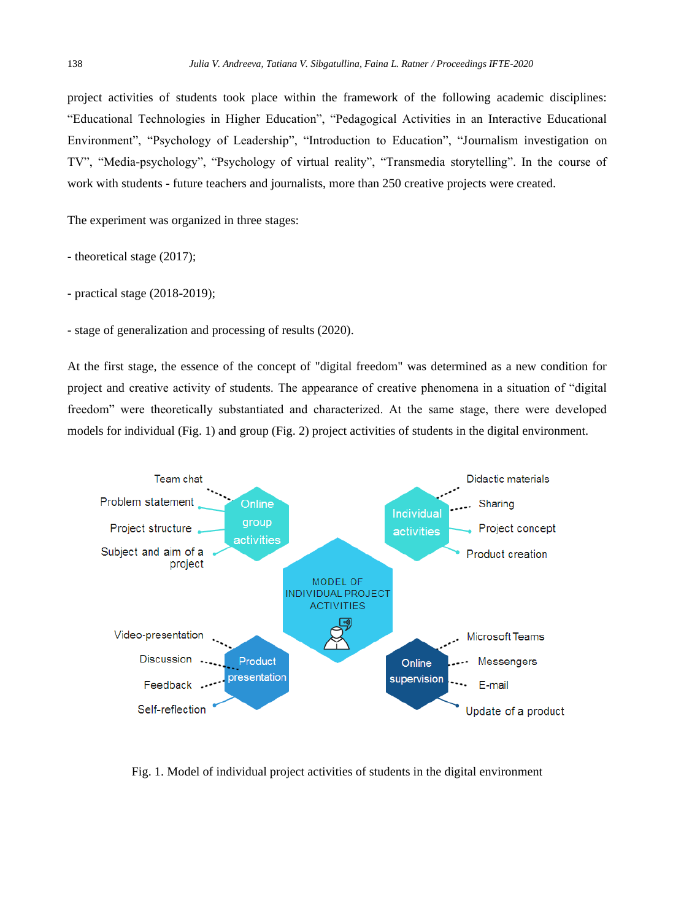project activities of students took place within the framework of the following academic disciplines: "Educational Technologies in Higher Education", "Pedagogical Activities in an Interactive Educational Environment", "Psychology of Leadership", "Introduction to Education", "Journalism investigation on TV", "Media-psychology", "Psychology of virtual reality", "Transmedia storytelling". In the course of work with students - future teachers and journalists, more than 250 creative projects were created.

The experiment was organized in three stages:

- theoretical stage (2017);

- practical stage (2018-2019);

- stage of generalization and processing of results (2020).

At the first stage, the essence of the concept of "digital freedom" was determined as a new condition for project and creative activity of students. The appearance of creative phenomena in a situation of "digital freedom" were theoretically substantiated and characterized. At the same stage, there were developed models for individual (Fig. 1) and group (Fig. 2) project activities of students in the digital environment.



Fig. 1. Model of individual project activities of students in the digital environment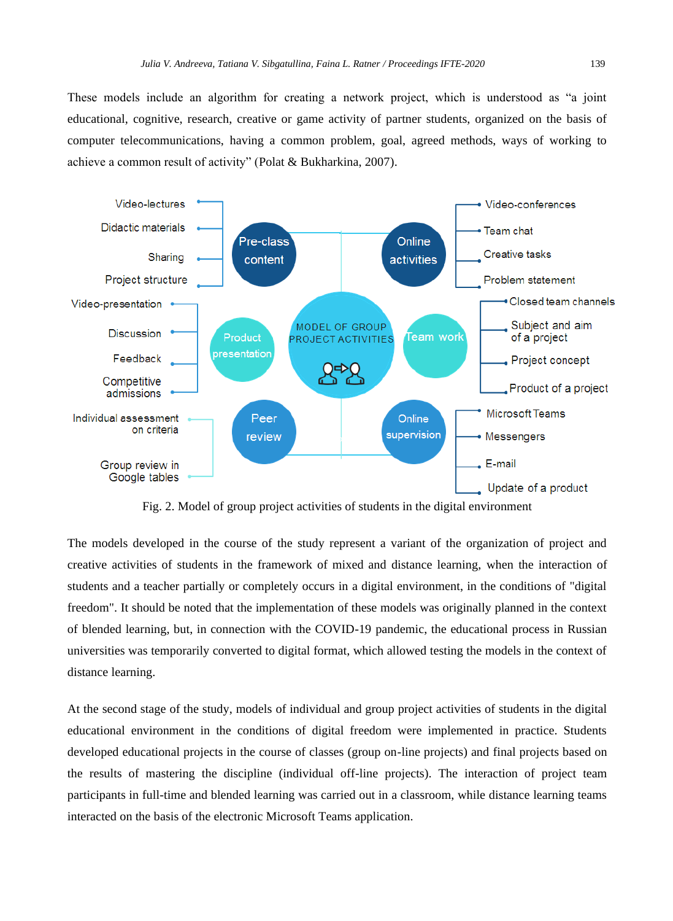These models include an algorithm for creating a network project, which is understood as "a joint educational, cognitive, research, creative or game activity of partner students, organized on the basis of computer telecommunications, having a common problem, goal, agreed methods, ways of working to achieve a common result of activity" (Polat & Bukharkina, 2007).



Fig. 2. Model of group project activities of students in the digital environment

The models developed in the course of the study represent a variant of the organization of project and creative activities of students in the framework of mixed and distance learning, when the interaction of students and a teacher partially or completely occurs in a digital environment, in the conditions of "digital freedom". It should be noted that the implementation of these models was originally planned in the context of blended learning, but, in connection with the COVID-19 pandemic, the educational process in Russian universities was temporarily converted to digital format, which allowed testing the models in the context of distance learning.

At the second stage of the study, models of individual and group project activities of students in the digital educational environment in the conditions of digital freedom were implemented in practice. Students developed educational projects in the course of classes (group on-line projects) and final projects based on the results of mastering the discipline (individual off-line projects). The interaction of project team participants in full-time and blended learning was carried out in a classroom, while distance learning teams interacted on the basis of the electronic Microsoft Teams application.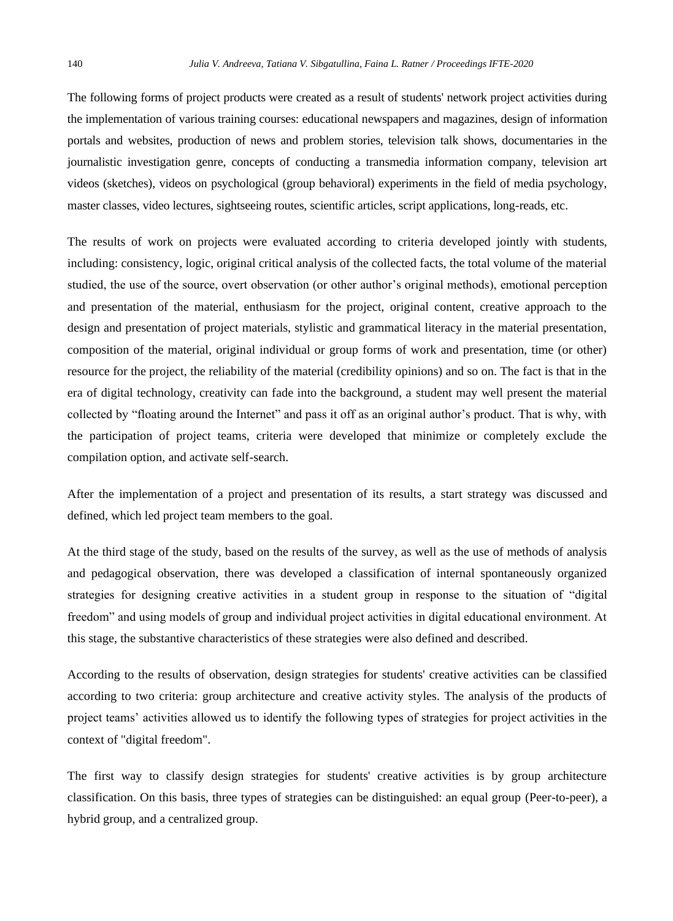The following forms of project products were created as a result of students' network project activities during the implementation of various training courses: educational newspapers and magazines, design of information portals and websites, production of news and problem stories, television talk shows, documentaries in the journalistic investigation genre, concepts of conducting a transmedia information company, television art videos (sketches), videos on psychological (group behavioral) experiments in the field of media psychology, master classes, video lectures, sightseeing routes, scientific articles, script applications, long-reads, etc.

The results of work on projects were evaluated according to criteria developed jointly with students, including: consistency, logic, original critical analysis of the collected facts, the total volume of the material studied, the use of the source, overt observation (or other author's original methods), emotional perception and presentation of the material, enthusiasm for the project, original content, creative approach to the design and presentation of project materials, stylistic and grammatical literacy in the material presentation, composition of the material, original individual or group forms of work and presentation, time (or other) resource for the project, the reliability of the material (credibility opinions) and so on. The fact is that in the era of digital technology, creativity can fade into the background, a student may well present the material collected by "floating around the Internet" and pass it off as an original author's product. That is why, with the participation of project teams, criteria were developed that minimize or completely exclude the compilation option, and activate self-search.

After the implementation of a project and presentation of its results, a start strategy was discussed and defined, which led project team members to the goal.

At the third stage of the study, based on the results of the survey, as well as the use of methods of analysis and pedagogical observation, there was developed a classification of internal spontaneously organized strategies for designing creative activities in a student group in response to the situation of "digital freedom" and using models of group and individual project activities in digital educational environment. At this stage, the substantive characteristics of these strategies were also defined and described.

According to the results of observation, design strategies for students' creative activities can be classified according to two criteria: group architecture and creative activity styles. The analysis of the products of project teams' activities allowed us to identify the following types of strategies for project activities in the context of "digital freedom".

The first way to classify design strategies for students' creative activities is by group architecture classification. On this basis, three types of strategies can be distinguished: an equal group (Peer-to-peer), a hybrid group, and a centralized group.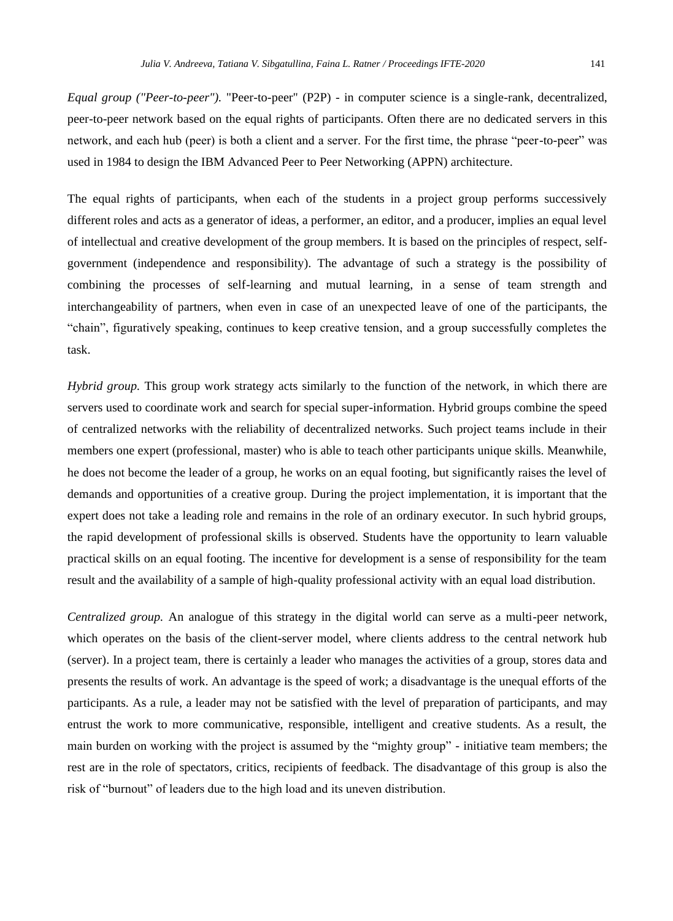*Equal group ("Peer-to-peer").* "Peer-to-peer" (P2P) - in computer science is a single-rank, decentralized, peer-to-peer network based on the equal rights of participants. Often there are no dedicated servers in this network, and each hub (peer) is both a client and a server. For the first time, the phrase "peer-to-peer" was used in 1984 to design the IBM Advanced Peer to Peer Networking (APPN) architecture.

The equal rights of participants, when each of the students in a project group performs successively different roles and acts as a generator of ideas, a performer, an editor, and a producer, implies an equal level of intellectual and creative development of the group members. It is based on the principles of respect, selfgovernment (independence and responsibility). The advantage of such a strategy is the possibility of combining the processes of self-learning and mutual learning, in a sense of team strength and interchangeability of partners, when even in case of an unexpected leave of one of the participants, the "chain", figuratively speaking, continues to keep creative tension, and a group successfully completes the task.

*Hybrid group.* This group work strategy acts similarly to the function of the network, in which there are servers used to coordinate work and search for special super-information. Hybrid groups combine the speed of centralized networks with the reliability of decentralized networks. Such project teams include in their members one expert (professional, master) who is able to teach other participants unique skills. Meanwhile, he does not become the leader of a group, he works on an equal footing, but significantly raises the level of demands and opportunities of a creative group. During the project implementation, it is important that the expert does not take a leading role and remains in the role of an ordinary executor. In such hybrid groups, the rapid development of professional skills is observed. Students have the opportunity to learn valuable practical skills on an equal footing. The incentive for development is a sense of responsibility for the team result and the availability of a sample of high-quality professional activity with an equal load distribution.

*Centralized group.* An analogue of this strategy in the digital world can serve as a multi-peer network, which operates on the basis of the client-server model, where clients address to the central network hub (server). In a project team, there is certainly a leader who manages the activities of a group, stores data and presents the results of work. An advantage is the speed of work; a disadvantage is the unequal efforts of the participants. As a rule, a leader may not be satisfied with the level of preparation of participants, and may entrust the work to more communicative, responsible, intelligent and creative students. As a result, the main burden on working with the project is assumed by the "mighty group" - initiative team members; the rest are in the role of spectators, critics, recipients of feedback. The disadvantage of this group is also the risk of "burnout" of leaders due to the high load and its uneven distribution.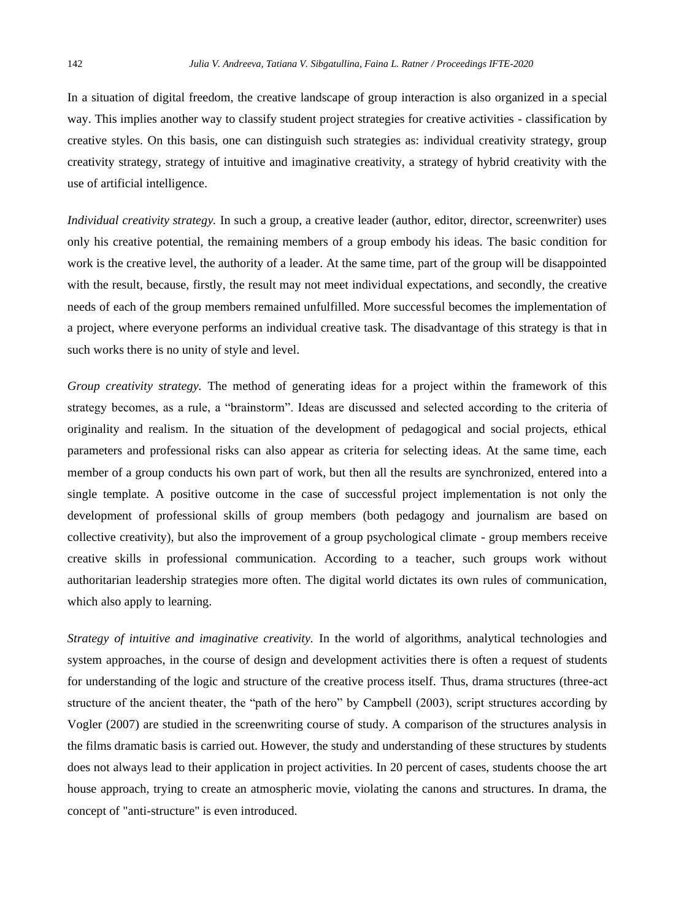In a situation of digital freedom, the creative landscape of group interaction is also organized in a special way. This implies another way to classify student project strategies for creative activities - classification by creative styles. On this basis, one can distinguish such strategies as: individual creativity strategy, group creativity strategy, strategy of intuitive and imaginative creativity, a strategy of hybrid creativity with the use of artificial intelligence.

*Individual creativity strategy.* In such a group, a creative leader (author, editor, director, screenwriter) uses only his creative potential, the remaining members of a group embody his ideas. The basic condition for work is the creative level, the authority of a leader. At the same time, part of the group will be disappointed with the result, because, firstly, the result may not meet individual expectations, and secondly, the creative needs of each of the group members remained unfulfilled. More successful becomes the implementation of a project, where everyone performs an individual creative task. The disadvantage of this strategy is that in such works there is no unity of style and level.

*Group creativity strategy.* The method of generating ideas for a project within the framework of this strategy becomes, as a rule, a "brainstorm". Ideas are discussed and selected according to the criteria of originality and realism. In the situation of the development of pedagogical and social projects, ethical parameters and professional risks can also appear as criteria for selecting ideas. At the same time, each member of a group conducts his own part of work, but then all the results are synchronized, entered into a single template. A positive outcome in the case of successful project implementation is not only the development of professional skills of group members (both pedagogy and journalism are based on collective creativity), but also the improvement of a group psychological climate - group members receive creative skills in professional communication. According to a teacher, such groups work without authoritarian leadership strategies more often. The digital world dictates its own rules of communication, which also apply to learning.

*Strategy of intuitive and imaginative creativity.* In the world of algorithms, analytical technologies and system approaches, in the course of design and development activities there is often a request of students for understanding of the logic and structure of the creative process itself. Thus, drama structures (three-act structure of the ancient theater, the "path of the hero" by Campbell (2003), script structures according by Vogler (2007) are studied in the screenwriting course of study. A comparison of the structures analysis in the films dramatic basis is carried out. However, the study and understanding of these structures by students does not always lead to their application in project activities. In 20 percent of cases, students choose the art house approach, trying to create an atmospheric movie, violating the canons and structures. In drama, the concept of "anti-structure" is even introduced.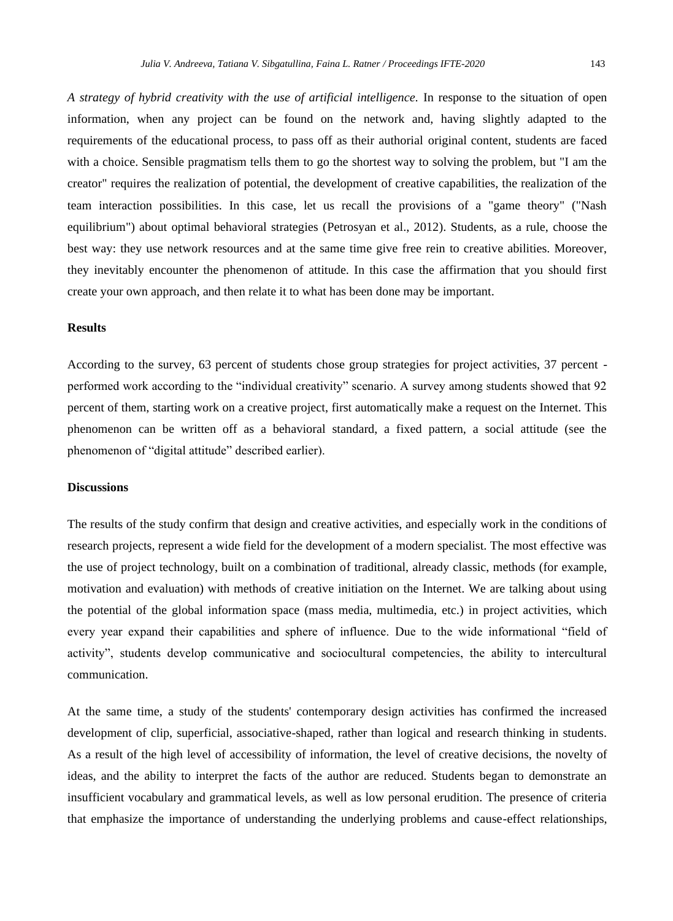*A strategy of hybrid creativity with the use of artificial intelligence.* In response to the situation of open information, when any project can be found on the network and, having slightly adapted to the requirements of the educational process, to pass off as their authorial original content, students are faced with a choice. Sensible pragmatism tells them to go the shortest way to solving the problem, but "I am the creator" requires the realization of potential, the development of creative capabilities, the realization of the team interaction possibilities. In this case, let us recall the provisions of a "game theory" ("Nash equilibrium") about optimal behavioral strategies (Petrosyan et al., 2012). Students, as a rule, choose the best way: they use network resources and at the same time give free rein to creative abilities. Moreover, they inevitably encounter the phenomenon of attitude. In this case the affirmation that you should first create your own approach, and then relate it to what has been done may be important.

# **Results**

According to the survey, 63 percent of students chose group strategies for project activities, 37 percent performed work according to the "individual creativity" scenario. A survey among students showed that 92 percent of them, starting work on a creative project, first automatically make a request on the Internet. This phenomenon can be written off as a behavioral standard, a fixed pattern, a social attitude (see the phenomenon of "digital attitude" described earlier).

#### **Discussions**

The results of the study confirm that design and creative activities, and especially work in the conditions of research projects, represent a wide field for the development of a modern specialist. The most effective was the use of project technology, built on a combination of traditional, already classic, methods (for example, motivation and evaluation) with methods of creative initiation on the Internet. We are talking about using the potential of the global information space (mass media, multimedia, etc.) in project activities, which every year expand their capabilities and sphere of influence. Due to the wide informational "field of activity", students develop communicative and sociocultural competencies, the ability to intercultural communication.

At the same time, a study of the students' contemporary design activities has confirmed the increased development of clip, superficial, associative-shaped, rather than logical and research thinking in students. As a result of the high level of accessibility of information, the level of creative decisions, the novelty of ideas, and the ability to interpret the facts of the author are reduced. Students began to demonstrate an insufficient vocabulary and grammatical levels, as well as low personal erudition. The presence of criteria that emphasize the importance of understanding the underlying problems and cause-effect relationships,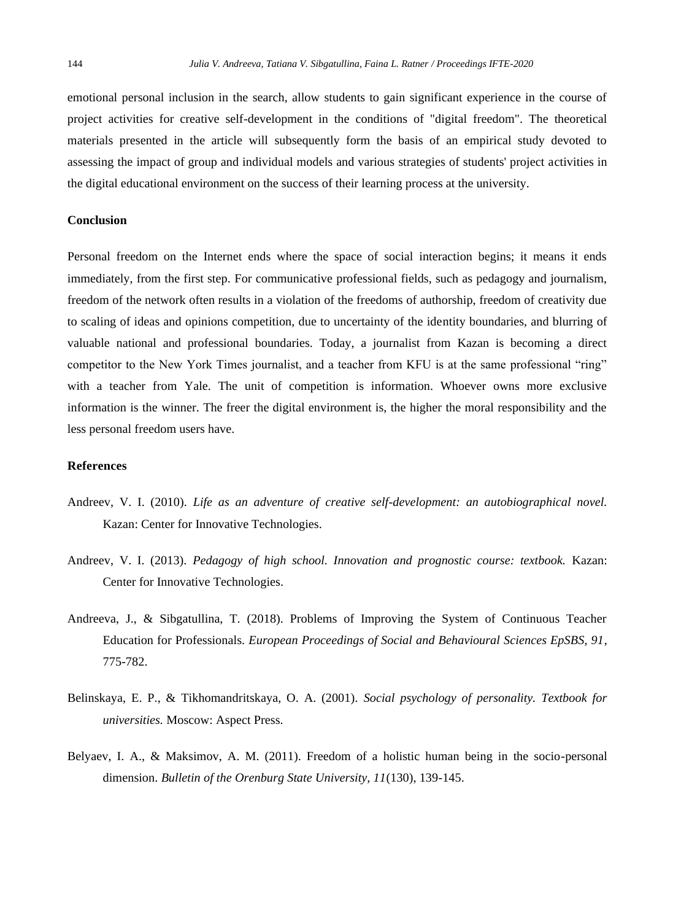emotional personal inclusion in the search, allow students to gain significant experience in the course of project activities for creative self-development in the conditions of "digital freedom". The theoretical materials presented in the article will subsequently form the basis of an empirical study devoted to assessing the impact of group and individual models and various strategies of students' project activities in the digital educational environment on the success of their learning process at the university.

#### **Conclusion**

Personal freedom on the Internet ends where the space of social interaction begins; it means it ends immediately, from the first step. For communicative professional fields, such as pedagogy and journalism, freedom of the network often results in a violation of the freedoms of authorship, freedom of creativity due to scaling of ideas and opinions competition, due to uncertainty of the identity boundaries, and blurring of valuable national and professional boundaries. Today, a journalist from Kazan is becoming a direct competitor to the New York Times journalist, and a teacher from KFU is at the same professional "ring" with a teacher from Yale. The unit of competition is information. Whoever owns more exclusive information is the winner. The freer the digital environment is, the higher the moral responsibility and the less personal freedom users have.

#### **References**

- Andreev, V. I. (2010). *Life as an adventure of creative self-development: an autobiographical novel.* Kazan: Center for Innovative Technologies.
- Andreev, V. I. (2013). *Pedagogy of high school. Innovation and prognostic course: textbook.* Kazan: Center for Innovative Technologies.
- Andreeva, J., & Sibgatullina, T. (2018). Problems of Improving the System of Continuous Teacher Education for Professionals. *European Proceedings of Social and Behavioural Sciences EpSBS, 91*, 775-782.
- Belinskaya, E. P., & Tikhomandritskaya, O. A. (2001). *Social psychology of personality. Textbook for universities.* Moscow: Aspect Press.
- Belyaev, I. A., & Maksimov, A. M. (2011). Freedom of a holistic human being in the socio-personal dimension. *Bulletin of the Orenburg State University, 11*(130), 139-145.